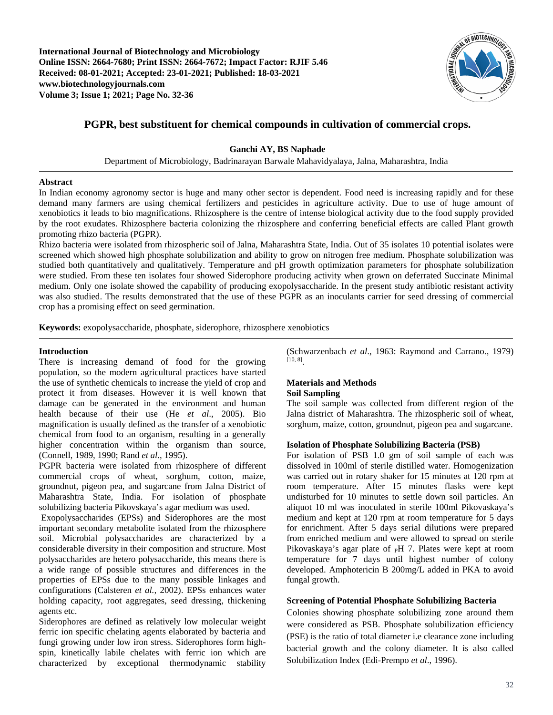**International Journal of Biotechnology and Microbiology Online ISSN: 2664-7680; Print ISSN: 2664-7672; Impact Factor: RJIF 5.46 Received: 08-01-2021; Accepted: 23-01-2021; Published: 18-03-2021 www.biotechnologyjournals.com Volume 3; Issue 1; 2021; Page No. 32-36**



# **PGPR, best substituent for chemical compounds in cultivation of commercial crops.**

## **Ganchi AY, BS Naphade**

Department of Microbiology, Badrinarayan Barwale Mahavidyalaya, Jalna, Maharashtra, India

### **Abstract**

In Indian economy agronomy sector is huge and many other sector is dependent. Food need is increasing rapidly and for these demand many farmers are using chemical fertilizers and pesticides in agriculture activity. Due to use of huge amount of xenobiotics it leads to bio magnifications. Rhizosphere is the centre of intense biological activity due to the food supply provided by the root exudates. Rhizosphere bacteria colonizing the rhizosphere and conferring beneficial effects are called Plant growth promoting rhizo bacteria (PGPR).

Rhizo bacteria were isolated from rhizospheric soil of Jalna, Maharashtra State, India. Out of 35 isolates 10 potential isolates were screened which showed high phosphate solubilization and ability to grow on nitrogen free medium. Phosphate solubilization was studied both quantitatively and qualitatively. Temperature and pH growth optimization parameters for phosphate solubilization were studied. From these ten isolates four showed Siderophore producing activity when grown on deferrated Succinate Minimal medium. Only one isolate showed the capability of producing exopolysaccharide. In the present study antibiotic resistant activity was also studied. The results demonstrated that the use of these PGPR as an inoculants carrier for seed dressing of commercial crop has a promising effect on seed germination.

**Keywords:** exopolysaccharide, phosphate, siderophore, rhizosphere xenobiotics

## **Introduction**

There is increasing demand of food for the growing population, so the modern agricultural practices have started the use of synthetic chemicals to increase the yield of crop and protect it from diseases. However it is well known that damage can be generated in the environment and human health because of their use (He *et al*., 2005). Bio magnification is usually defined as the transfer of a xenobiotic chemical from food to an organism, resulting in a generally higher concentration within the organism than source, (Connell, 1989, 1990; Rand *et al*., 1995).

PGPR bacteria were isolated from rhizosphere of different commercial crops of wheat, sorghum, cotton, maize, groundnut, pigeon pea, and sugarcane from Jalna District of Maharashtra State, India. For isolation of phosphate solubilizing bacteria Pikovskaya's agar medium was used.

Exopolysaccharides (EPSs) and Siderophores are the most important secondary metabolite isolated from the rhizosphere soil. Microbial polysaccharides are characterized by a considerable diversity in their composition and structure. Most polysaccharides are hetero polysaccharide, this means there is a wide range of possible structures and differences in the properties of EPSs due to the many possible linkages and configurations (Calsteren *et al.,* 2002). EPSs enhances water holding capacity, root aggregates, seed dressing, thickening agents etc.

Siderophores are defined as relatively low molecular weight ferric ion specific chelating agents elaborated by bacteria and fungi growing under low iron stress. Siderophores form highspin, kinetically labile chelates with ferric ion which are characterized by exceptional thermodynamic stability (Schwarzenbach *et al*., 1963: Raymond and Carrano., 1979) [10, 8] .

### **Materials and Methods Soil Sampling**

The soil sample was collected from different region of the Jalna district of Maharashtra. The rhizospheric soil of wheat, sorghum, maize, cotton, groundnut, pigeon pea and sugarcane.

### **Isolation of Phosphate Solubilizing Bacteria (PSB)**

For isolation of PSB 1.0 gm of soil sample of each was dissolved in 100ml of sterile distilled water. Homogenization was carried out in rotary shaker for 15 minutes at 120 rpm at room temperature. After 15 minutes flasks were kept undisturbed for 10 minutes to settle down soil particles. An aliquot 10 ml was inoculated in sterile 100ml Pikovaskaya's medium and kept at 120 rpm at room temperature for 5 days for enrichment. After 5 days serial dilutions were prepared from enriched medium and were allowed to spread on sterile Pikovaskaya's agar plate of <sub>P</sub>H 7. Plates were kept at room temperature for 7 days until highest number of colony developed. Amphotericin B 200mg/L added in PKA to avoid fungal growth.

## **Screening of Potential Phosphate Solubilizing Bacteria**

Colonies showing phosphate solubilizing zone around them were considered as PSB. Phosphate solubilization efficiency (PSE) is the ratio of total diameter i.e clearance zone including bacterial growth and the colony diameter. It is also called Solubilization Index (Edi-Prempo *et al*., 1996).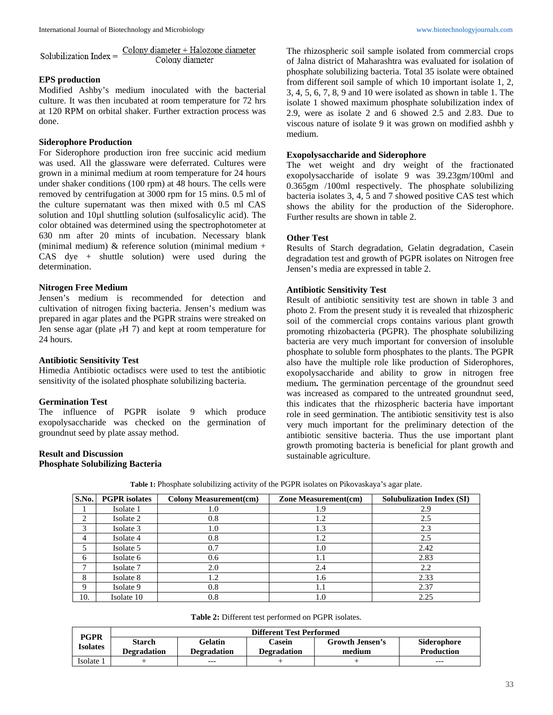Colony diameter + Halozone diameter Solubilization Index = Colony diameter

## **EPS production**

Modified Ashby's medium inoculated with the bacterial culture. It was then incubated at room temperature for 72 hrs at 120 RPM on orbital shaker. Further extraction process was done.

### **Siderophore Production**

For Siderophore production iron free succinic acid medium was used. All the glassware were deferrated. Cultures were grown in a minimal medium at room temperature for 24 hours under shaker conditions (100 rpm) at 48 hours. The cells were removed by centrifugation at 3000 rpm for 15 mins. 0.5 ml of the culture supernatant was then mixed with 0.5 ml CAS solution and 10µl shuttling solution (sulfosalicylic acid). The color obtained was determined using the spectrophotometer at 630 nm after 20 mints of incubation. Necessary blank (minimal medium)  $&$  reference solution (minimal medium + CAS dye + shuttle solution) were used during the determination.

### **Nitrogen Free Medium**

Jensen's medium is recommended for detection and cultivation of nitrogen fixing bacteria. Jensen's medium was prepared in agar plates and the PGPR strains were streaked on Jen sense agar (plate  $\mu$ H 7) and kept at room temperature for 24 hours.

### **Antibiotic Sensitivity Test**

Himedia Antibiotic octadiscs were used to test the antibiotic sensitivity of the isolated phosphate solubilizing bacteria.

### **Germination Test**

The influence of PGPR isolate 9 which produce exopolysaccharide was checked on the germination of groundnut seed by plate assay method.

## **Result and Discussion Phosphate Solubilizing Bacteria**

The rhizospheric soil sample isolated from commercial crops of Jalna district of Maharashtra was evaluated for isolation of phosphate solubilizing bacteria. Total 35 isolate were obtained from different soil sample of which 10 important isolate 1, 2, 3, 4, 5, 6, 7, 8, 9 and 10 were isolated as shown in table 1. The isolate 1 showed maximum phosphate solubilization index of 2.9, were as isolate 2 and 6 showed 2.5 and 2.83. Due to viscous nature of isolate 9 it was grown on modified ashbh y medium.

### **Exopolysaccharide and Siderophore**

The wet weight and dry weight of the fractionated exopolysaccharide of isolate 9 was 39.23gm/100ml and 0.365gm /100ml respectively. The phosphate solubilizing bacteria isolates 3, 4, 5 and 7 showed positive CAS test which shows the ability for the production of the Siderophore. Further results are shown in table 2.

## **Other Test**

Results of Starch degradation, Gelatin degradation, Casein degradation test and growth of PGPR isolates on Nitrogen free Jensen's media are expressed in table 2.

### **Antibiotic Sensitivity Test**

Result of antibiotic sensitivity test are shown in table 3 and photo 2. From the present study it is revealed that rhizospheric soil of the commercial crops contains various plant growth promoting rhizobacteria (PGPR). The phosphate solubilizing bacteria are very much important for conversion of insoluble phosphate to soluble form phosphates to the plants. The PGPR also have the multiple role like production of Siderophores, exopolysaccharide and ability to grow in nitrogen free medium**.** The germination percentage of the groundnut seed was increased as compared to the untreated groundnut seed, this indicates that the rhizospheric bacteria have important role in seed germination. The antibiotic sensitivity test is also very much important for the preliminary detection of the antibiotic sensitive bacteria. Thus the use important plant growth promoting bacteria is beneficial for plant growth and sustainable agriculture.

| S.No. | <b>PGPR</b> isolates | <b>Colony Measurement(cm)</b> | <b>Zone Measurement(cm)</b> | <b>Solubulization Index (SI)</b> |
|-------|----------------------|-------------------------------|-----------------------------|----------------------------------|
|       | Isolate 1            | 1.0                           | 1.9                         | 2.9                              |
| 2     | Isolate 2            | 0.8                           | 1.2                         | 2.5                              |
| 3     | Isolate 3            | 1.0                           | 1.3                         | 2.3                              |
| 4     | Isolate 4            | 0.8                           | 1.2                         | 2.5                              |
| 5     | Isolate 5            | 0.7                           | 1.0                         | 2.42                             |
| 6     | Isolate 6            | 0.6                           | 1.1                         | 2.83                             |
| ⇁     | Isolate 7            | 2.0                           | 2.4                         | 2.2                              |
| 8     | Isolate 8            | 1.2                           | 1.6                         | 2.33                             |
| 9     | Isolate 9            | 0.8                           | 1.1                         | 2.37                             |
| 10.   | Isolate 10           | 0.8                           | 1.0                         | 2.25                             |

**Table 1:** Phosphate solubilizing activity of the PGPR isolates on Pikovaskaya's agar plate.

| Table 2: Different test performed on PGPR isolates. |  |  |  |
|-----------------------------------------------------|--|--|--|
|-----------------------------------------------------|--|--|--|

| <b>PGPR</b> | <b>Different Test Performed</b>     |                        |                       |                                  |                                  |  |  |  |  |
|-------------|-------------------------------------|------------------------|-----------------------|----------------------------------|----------------------------------|--|--|--|--|
| Isolates    | <b>Starch</b><br><b>Degradation</b> | Gelatin<br>Degradation | Casein<br>Degradation | <b>Growth Jensen's</b><br>medium | Siderophore<br><b>Production</b> |  |  |  |  |
| Isolate 1   |                                     | ---                    |                       |                                  | ---                              |  |  |  |  |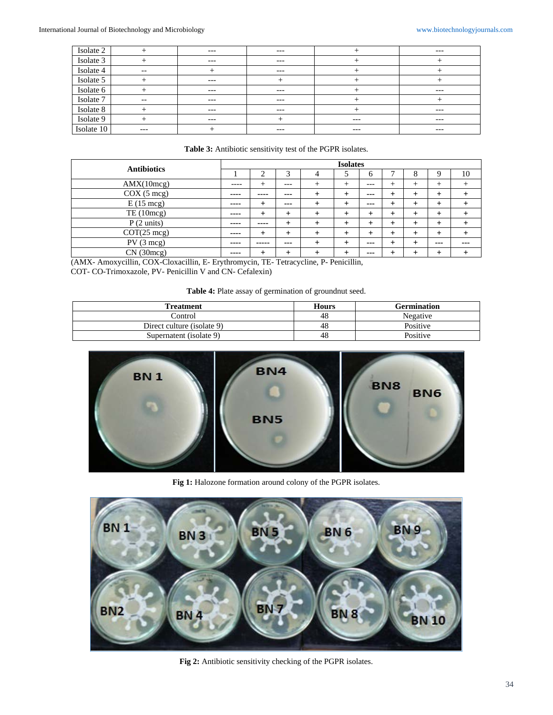| Isolate 2  |       | $---$ | $---$ |       | $---$ |
|------------|-------|-------|-------|-------|-------|
| Isolate 3  |       | $---$ | $---$ |       |       |
| Isolate 4  | $- -$ |       | $---$ |       |       |
| Isolate 5  |       | $---$ |       |       |       |
| Isolate 6  |       | $---$ | $---$ |       | $---$ |
| Isolate 7  | $- -$ | $---$ | $---$ |       |       |
| Isolate 8  |       | $---$ | $---$ |       | $---$ |
| Isolate 9  |       | $---$ |       | $---$ | $---$ |
| Isolate 10 | $---$ |       | $---$ | $---$ | $---$ |

## **Table 3:** Antibiotic sensitivity test of the PGPR isolates.

| <b>Antibiotics</b>    | <b>Isolates</b> |       |                |      |                 |         |      |       |      |     |
|-----------------------|-----------------|-------|----------------|------|-----------------|---------|------|-------|------|-----|
|                       |                 |       | ⌒              | 4    |                 | 6       | −    | 8     | Q    | 10  |
| AMX(10mcg)            | ----            | ÷     | ---            |      | +               | $---$   | +    | $^+$  | ÷    |     |
| COX (5 mcg)           | ----            | ----  | ---            |      | $\overline{+}$  | $- - -$ | +    |       | $^+$ |     |
| $E(15 \text{ mcg})$   | ----            | $\pm$ | ---            | $^+$ | $\overline{+}$  | ---     | ┿    |       | $^+$ |     |
| TE (10mcg)            | ----            | $\pm$ | $+$            | $^+$ | $\overline{+}$  | $\div$  | $^+$ |       | +    |     |
| P(2 units)            | ----            | ----  | $\ddot{}$      |      | $\ddot{}$       | $\div$  | ┿    |       | +    |     |
| $COT(25 \text{ mcg})$ | ----            | +     | $\ddot{}$      |      | $\pm$           | $^+$    | $^+$ | +     | +    |     |
| $PV(3 \text{ mcg})$   | ----            | ----- | ---            | $^+$ | $^{\mathrm{+}}$ | ---     | ┿    | $\pm$ | ---  | --- |
| CN(30mg)              | ----            |       | $\overline{+}$ |      | $\,{}^+$        | ---     |      |       |      |     |

(AMX- Amoxycillin, COX-Cloxacillin, E- Erythromycin, TE- Tetracycline, P- Penicillin, COT- CO-Trimoxazole, PV- Penicillin V and CN- Cefalexin)

**Table 4:** Plate assay of germination of groundnut seed.

| <b>Treatment</b>           | <b>Hours</b> | <b>Germination</b> |
|----------------------------|--------------|--------------------|
| Control                    | 48           | Negative           |
| Direct culture (isolate 9) | 48           | Positive           |
| Supernatent (isolate 9)    | 48           | Positive           |



**Fig 1:** Halozone formation around colony of the PGPR isolates.



**Fig 2:** Antibiotic sensitivity checking of the PGPR isolates.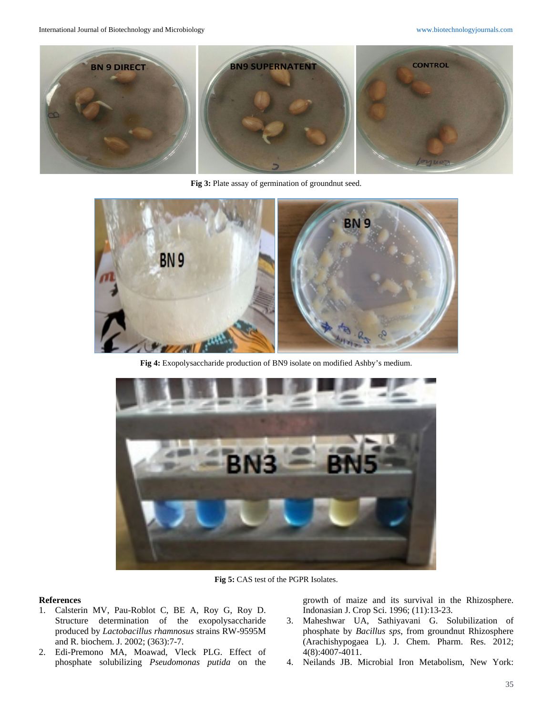

Fig 3: Plate assay of germination of groundnut seed.



**Fig 4:** Exopolysaccharide production of BN9 isolate on modified Ashby's medium.



**Fig 5:** CAS test of the PGPR Isolates.

#### **References**

- 1. Calsterin MV, Pau-Roblot C, BE A, Roy G, Roy D. Structure determination of the exopolysaccharide produced by *Lactobacillus rhamnosus* strains RW-9595M and R. biochem. J. 2002; (363):7-7.
- 2. Edi-Premono MA, Moawad, Vleck PLG. Effect of phosphate solubilizing *Pseudomonas putida* on the

growth of maize and its survival in the Rhizosphere. Indonasian J. Crop Sci. 1996; (11):13-23.

- 3. Maheshwar UA, Sathiyavani G. Solubilization of phosphate by *Bacillus sps*, from groundnut Rhizosphere (Arachishypogaea L). J. Chem. Pharm. Res. 2012; 4(8):4007-4011.
- 4. Neilands JB. Microbial Iron Metabolism, New York: